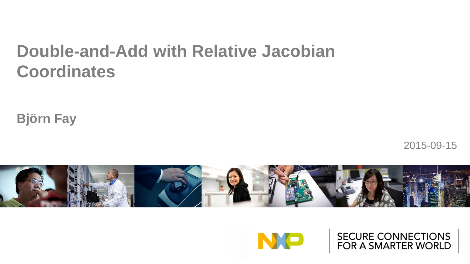## **Double-and-Add with Relative Jacobian Coordinates**

**Björn Fay**

2015-09-15





SECURE CONNECTIONS<br>FOR A SMARTER WORLD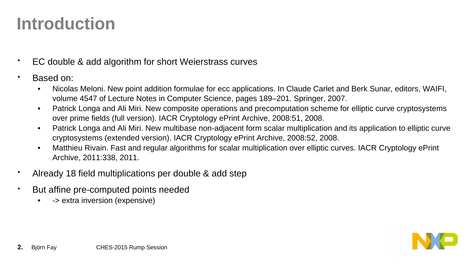## **Introduction**

- EC double & add algorithm for short Weierstrass curves
- Based on:
	- Nicolas Meloni. New point addition formulae for ecc applications. In Claude Carlet and Berk Sunar, editors, WAIFI, volume 4547 of Lecture Notes in Computer Science, pages 189–201. Springer, 2007.
	- Patrick Longa and Ali Miri. New composite operations and precomputation scheme for elliptic curve cryptosystems over prime fields (full version). IACR Cryptology ePrint Archive, 2008:51, 2008.
	- Patrick Longa and Ali Miri. New multibase non-adjacent form scalar multiplication and its application to elliptic curve cryptosystems (extended version). IACR Cryptology ePrint Archive, 2008:52, 2008.
	- Matthieu Rivain. Fast and regular algorithms for scalar multiplication over elliptic curves. IACR Cryptology ePrint Archive, 2011:338, 2011.
- Already 18 field multiplications per double & add step
- But affine pre-computed points needed
	- -> extra inversion (expensive)